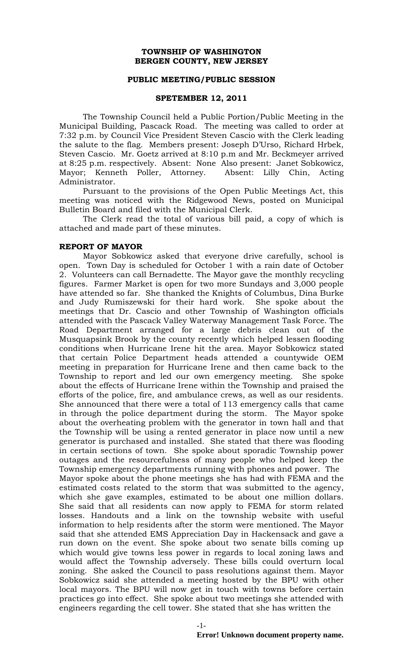## **TOWNSHIP OF WASHINGTON BERGEN COUNTY, NEW JERSEY**

#### **PUBLIC MEETING/PUBLIC SESSION**

#### **SPETEMBER 12, 2011**

The Township Council held a Public Portion/Public Meeting in the Municipal Building, Pascack Road. The meeting was called to order at 7:32 p.m. by Council Vice President Steven Cascio with the Clerk leading the salute to the flag. Members present: Joseph D'Urso, Richard Hrbek, Steven Cascio. Mr. Goetz arrived at 8:10 p.m and Mr. Beckmeyer arrived at 8:25 p.m. respectively. Absent: None Also present: Janet Sobkowicz, Mayor; Kenneth Poller, Attorney. Absent: Lilly Chin, Acting Administrator.

Pursuant to the provisions of the Open Public Meetings Act, this meeting was noticed with the Ridgewood News, posted on Municipal Bulletin Board and filed with the Municipal Clerk.

The Clerk read the total of various bill paid, a copy of which is attached and made part of these minutes.

#### **REPORT OF MAYOR**

Mayor Sobkowicz asked that everyone drive carefully, school is open. Town Day is scheduled for October 1 with a rain date of October 2. Volunteers can call Bernadette. The Mayor gave the monthly recycling figures. Farmer Market is open for two more Sundays and 3,000 people have attended so far. She thanked the Knights of Columbus, Dina Burke and Judy Rumiszewski for their hard work. She spoke about the meetings that Dr. Cascio and other Township of Washington officials attended with the Pascack Valley Waterway Management Task Force. The Road Department arranged for a large debris clean out of the Musquapsink Brook by the county recently which helped lessen flooding conditions when Hurricane Irene hit the area. Mayor Sobkowicz stated that certain Police Department heads attended a countywide OEM meeting in preparation for Hurricane Irene and then came back to the Township to report and led our own emergency meeting. She spoke about the effects of Hurricane Irene within the Township and praised the efforts of the police, fire, and ambulance crews, as well as our residents. She announced that there were a total of 113 emergency calls that came in through the police department during the storm. The Mayor spoke about the overheating problem with the generator in town hall and that the Township will be using a rented generator in place now until a new generator is purchased and installed. She stated that there was flooding in certain sections of town. She spoke about sporadic Township power outages and the resourcefulness of many people who helped keep the Township emergency departments running with phones and power. The Mayor spoke about the phone meetings she has had with FEMA and the estimated costs related to the storm that was submitted to the agency, which she gave examples, estimated to be about one million dollars. She said that all residents can now apply to FEMA for storm related losses. Handouts and a link on the township website with useful information to help residents after the storm were mentioned. The Mayor said that she attended EMS Appreciation Day in Hackensack and gave a run down on the event. She spoke about two senate bills coming up which would give towns less power in regards to local zoning laws and would affect the Township adversely. These bills could overturn local zoning. She asked the Council to pass resolutions against them. Mayor Sobkowicz said she attended a meeting hosted by the BPU with other local mayors. The BPU will now get in touch with towns before certain practices go into effect. She spoke about two meetings she attended with engineers regarding the cell tower. She stated that she has written the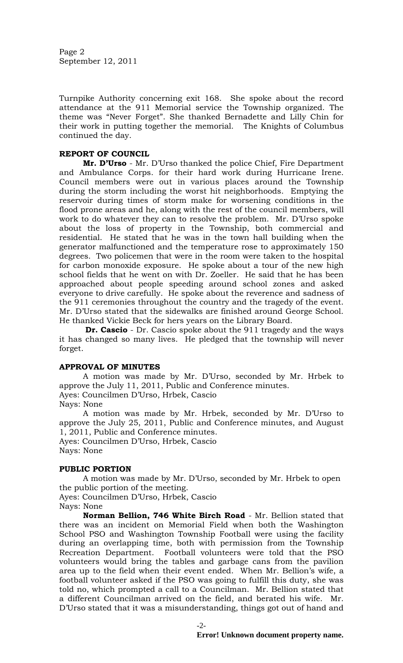Page 2 September 12, 2011

Turnpike Authority concerning exit 168. She spoke about the record attendance at the 911 Memorial service the Township organized. The theme was "Never Forget". She thanked Bernadette and Lilly Chin for their work in putting together the memorial. The Knights of Columbus continued the day.

# **REPORT OF COUNCIL**

**Mr. D'Urso** - Mr. D'Urso thanked the police Chief, Fire Department and Ambulance Corps. for their hard work during Hurricane Irene. Council members were out in various places around the Township during the storm including the worst hit neighborhoods. Emptying the reservoir during times of storm make for worsening conditions in the flood prone areas and he, along with the rest of the council members, will work to do whatever they can to resolve the problem. Mr. D'Urso spoke about the loss of property in the Township, both commercial and residential. He stated that he was in the town hall building when the generator malfunctioned and the temperature rose to approximately 150 degrees. Two policemen that were in the room were taken to the hospital for carbon monoxide exposure. He spoke about a tour of the new high school fields that he went on with Dr. Zoeller. He said that he has been approached about people speeding around school zones and asked everyone to drive carefully. He spoke about the reverence and sadness of the 911 ceremonies throughout the country and the tragedy of the event. Mr. D'Urso stated that the sidewalks are finished around George School. He thanked Vickie Beck for hers years on the Library Board.

**Dr. Cascio** - Dr. Cascio spoke about the 911 tragedy and the ways it has changed so many lives. He pledged that the township will never forget.

# **APPROVAL OF MINUTES**

A motion was made by Mr. D'Urso, seconded by Mr. Hrbek to approve the July 11, 2011, Public and Conference minutes. Ayes: Councilmen D'Urso, Hrbek, Cascio

Nays: None

A motion was made by Mr. Hrbek, seconded by Mr. D'Urso to approve the July 25, 2011, Public and Conference minutes, and August 1, 2011, Public and Conference minutes. Ayes: Councilmen D'Urso, Hrbek, Cascio

Nays: None

# **PUBLIC PORTION**

A motion was made by Mr. D'Urso, seconded by Mr. Hrbek to open the public portion of the meeting.

Ayes: Councilmen D'Urso, Hrbek, Cascio Nays: None

**Norman Bellion, 746 White Birch Road** - Mr. Bellion stated that there was an incident on Memorial Field when both the Washington School PSO and Washington Township Football were using the facility during an overlapping time, both with permission from the Township Recreation Department. Football volunteers were told that the PSO volunteers would bring the tables and garbage cans from the pavilion area up to the field when their event ended. When Mr. Bellion's wife, a football volunteer asked if the PSO was going to fulfill this duty, she was told no, which prompted a call to a Councilman. Mr. Bellion stated that a different Councilman arrived on the field, and berated his wife. Mr. D'Urso stated that it was a misunderstanding, things got out of hand and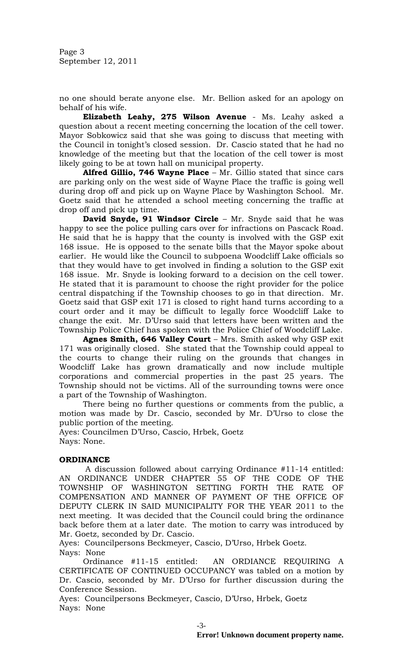Page 3 September 12, 2011

no one should berate anyone else. Mr. Bellion asked for an apology on behalf of his wife.

**Elizabeth Leahy, 275 Wilson Avenue** - Ms. Leahy asked a question about a recent meeting concerning the location of the cell tower. Mayor Sobkowicz said that she was going to discuss that meeting with the Council in tonight's closed session. Dr. Cascio stated that he had no knowledge of the meeting but that the location of the cell tower is most likely going to be at town hall on municipal property.

**Alfred Gillio, 746 Wayne Place** – Mr. Gillio stated that since cars are parking only on the west side of Wayne Place the traffic is going well during drop off and pick up on Wayne Place by Washington School. Mr. Goetz said that he attended a school meeting concerning the traffic at drop off and pick up time.

**David Snyde, 91 Windsor Circle** – Mr. Snyde said that he was happy to see the police pulling cars over for infractions on Pascack Road. He said that he is happy that the county is involved with the GSP exit 168 issue. He is opposed to the senate bills that the Mayor spoke about earlier. He would like the Council to subpoena Woodcliff Lake officials so that they would have to get involved in finding a solution to the GSP exit 168 issue. Mr. Snyde is looking forward to a decision on the cell tower. He stated that it is paramount to choose the right provider for the police central dispatching if the Township chooses to go in that direction. Mr. Goetz said that GSP exit 171 is closed to right hand turns according to a court order and it may be difficult to legally force Woodcliff Lake to change the exit. Mr. D'Urso said that letters have been written and the Township Police Chief has spoken with the Police Chief of Woodcliff Lake.

**Agnes Smith, 646 Valley Court** – Mrs. Smith asked why GSP exit 171 was originally closed. She stated that the Township could appeal to the courts to change their ruling on the grounds that changes in Woodcliff Lake has grown dramatically and now include multiple corporations and commercial properties in the past 25 years. The Township should not be victims. All of the surrounding towns were once a part of the Township of Washington.

There being no further questions or comments from the public, a motion was made by Dr. Cascio, seconded by Mr. D'Urso to close the public portion of the meeting.

Ayes: Councilmen D'Urso, Cascio, Hrbek, Goetz Nays: None.

# **ORDINANCE**

A discussion followed about carrying Ordinance #11-14 entitled: AN ORDINANCE UNDER CHAPTER 55 OF THE CODE OF THE TOWNSHIP OF WASHINGTON SETTING FORTH THE RATE OF COMPENSATION AND MANNER OF PAYMENT OF THE OFFICE OF DEPUTY CLERK IN SAID MUNICIPALITY FOR THE YEAR 2011 to the next meeting. It was decided that the Council could bring the ordinance back before them at a later date. The motion to carry was introduced by Mr. Goetz, seconded by Dr. Cascio.

Ayes: Councilpersons Beckmeyer, Cascio, D'Urso, Hrbek Goetz. Nays: None

Ordinance #11-15 entitled: AN ORDIANCE REQUIRING A CERTIFICATE OF CONTINUED OCCUPANCY was tabled on a motion by Dr. Cascio, seconded by Mr. D'Urso for further discussion during the Conference Session.

Ayes: Councilpersons Beckmeyer, Cascio, D'Urso, Hrbek, Goetz Nays: None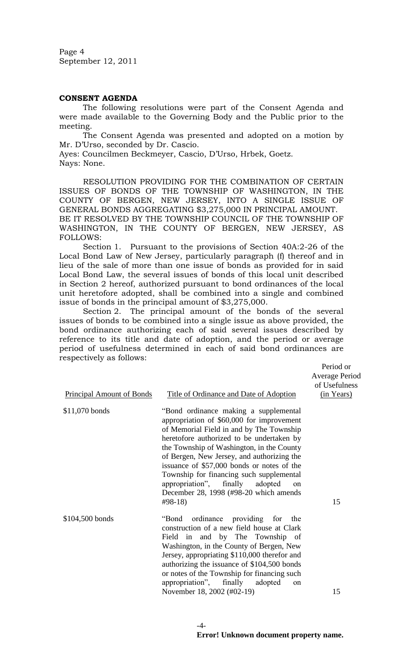Page 4 September 12, 2011

# **CONSENT AGENDA**

The following resolutions were part of the Consent Agenda and were made available to the Governing Body and the Public prior to the meeting.

The Consent Agenda was presented and adopted on a motion by Mr. D'Urso, seconded by Dr. Cascio.

Ayes: Councilmen Beckmeyer, Cascio, D'Urso, Hrbek, Goetz. Nays: None.

RESOLUTION PROVIDING FOR THE COMBINATION OF CERTAIN ISSUES OF BONDS OF THE TOWNSHIP OF WASHINGTON, IN THE COUNTY OF BERGEN, NEW JERSEY, INTO A SINGLE ISSUE OF GENERAL BONDS AGGREGATING \$3,275,000 IN PRINCIPAL AMOUNT. BE IT RESOLVED BY THE TOWNSHIP COUNCIL OF THE TOWNSHIP OF WASHINGTON, IN THE COUNTY OF BERGEN, NEW JERSEY, AS FOLLOWS:

Section 1. Pursuant to the provisions of Section 40A:2-26 of the Local Bond Law of New Jersey, particularly paragraph (f) thereof and in lieu of the sale of more than one issue of bonds as provided for in said Local Bond Law, the several issues of bonds of this local unit described in Section 2 hereof, authorized pursuant to bond ordinances of the local unit heretofore adopted, shall be combined into a single and combined issue of bonds in the principal amount of \$3,275,000.

Section 2. The principal amount of the bonds of the several issues of bonds to be combined into a single issue as above provided, the bond ordinance authorizing each of said several issues described by reference to its title and date of adoption, and the period or average period of usefulness determined in each of said bond ordinances are respectively as follows:

Period or Average Period of Usefulness (in Years)

| <b>Principal Amount of Bonds</b> | Title of Ordinance and Date of Adoption                                                                                                                                                                                                                                                                                                                                                                                                                                       | <u>(in Ye</u> |
|----------------------------------|-------------------------------------------------------------------------------------------------------------------------------------------------------------------------------------------------------------------------------------------------------------------------------------------------------------------------------------------------------------------------------------------------------------------------------------------------------------------------------|---------------|
| \$11,070 bonds                   | "Bond ordinance making a supplemental<br>appropriation of \$60,000 for improvement<br>of Memorial Field in and by The Township<br>heretofore authorized to be undertaken by<br>the Township of Washington, in the County<br>of Bergen, New Jersey, and authorizing the<br>issuance of \$57,000 bonds or notes of the<br>Township for financing such supplemental<br>appropriation", finally<br>adopted<br><sub>on</sub><br>December 28, 1998 (#98-20 which amends<br>$#98-18$ | 15            |
| \$104,500 bonds                  | ordinance providing for<br>"Bond<br>the<br>construction of a new field house at Clark<br>Field in and by The Township of<br>Washington, in the County of Bergen, New<br>Jersey, appropriating \$110,000 therefor and<br>authorizing the issuance of \$104,500 bonds<br>or notes of the Township for financing such<br>appropriation", finally adopted<br><sub>on</sub><br>November 18, 2002 (#02-19)                                                                          | 15            |

 $-4-$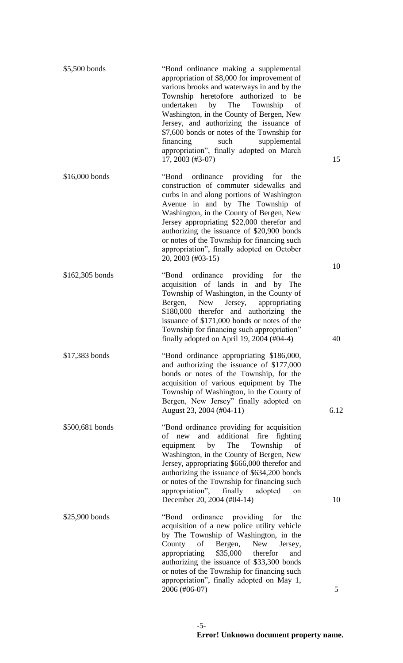| \$5,500 bonds   | "Bond ordinance making a supplemental<br>appropriation of \$8,000 for improvement of<br>various brooks and waterways in and by the<br>Township heretofore authorized to be<br>undertaken<br>by<br>The<br>Township<br>of<br>Washington, in the County of Bergen, New<br>Jersey, and authorizing the issuance of<br>\$7,600 bonds or notes of the Township for<br>financing<br>such<br>supplemental<br>appropriation", finally adopted on March<br>17, 2003 (#3-07) | 15   |
|-----------------|-------------------------------------------------------------------------------------------------------------------------------------------------------------------------------------------------------------------------------------------------------------------------------------------------------------------------------------------------------------------------------------------------------------------------------------------------------------------|------|
| \$16,000 bonds  | "Bond"<br>ordinance providing<br>for<br>the<br>construction of commuter sidewalks and<br>curbs in and along portions of Washington<br>Avenue in and by The Township of<br>Washington, in the County of Bergen, New<br>Jersey appropriating \$22,000 therefor and<br>authorizing the issuance of \$20,900 bonds<br>or notes of the Township for financing such<br>appropriation", finally adopted on October<br>20, 2003 (#03-15)                                  | 10   |
| \$162,305 bonds | ordinance providing<br>"Bond"<br>the<br>for<br>acquisition of lands in and<br>by<br>The<br>Township of Washington, in the County of<br>Jersey,<br>Bergen,<br><b>New</b><br>appropriating<br>\$180,000 therefor and authorizing the<br>issuance of \$171,000 bonds or notes of the<br>Township for financing such appropriation"<br>finally adopted on April 19, 2004 $(\text{\#}04-4)$                                                                            | 40   |
| \$17,383 bonds  | "Bond ordinance appropriating \$186,000,<br>and authorizing the issuance of \$177,000<br>bonds or notes of the Township, for the<br>acquisition of various equipment by The<br>Township of Washington, in the County of<br>Bergen, New Jersey" finally adopted on<br>August 23, 2004 (#04-11)                                                                                                                                                                     | 6.12 |
| \$500,681 bonds | "Bond ordinance providing for acquisition"<br>of new and additional<br>fire fighting<br>Township<br>by<br>The<br>of<br>equipment<br>Washington, in the County of Bergen, New<br>Jersey, appropriating \$666,000 therefor and<br>authorizing the issuance of \$634,200 bonds<br>or notes of the Township for financing such<br>appropriation", finally<br>adopted<br>on<br>December 20, 2004 (#04-14)                                                              | 10   |
| \$25,900 bonds  | ordinance providing<br>"Bond<br>for<br>the<br>acquisition of a new police utility vehicle<br>by The Township of Washington, in the<br>Bergen,<br><b>New</b><br>County<br>of<br>Jersey,<br>\$35,000 therefor<br>appropriating<br>and<br>authorizing the issuance of \$33,300 bonds<br>or notes of the Township for financing such<br>appropriation", finally adopted on May 1,<br>2006 (#06-07)                                                                    | 5    |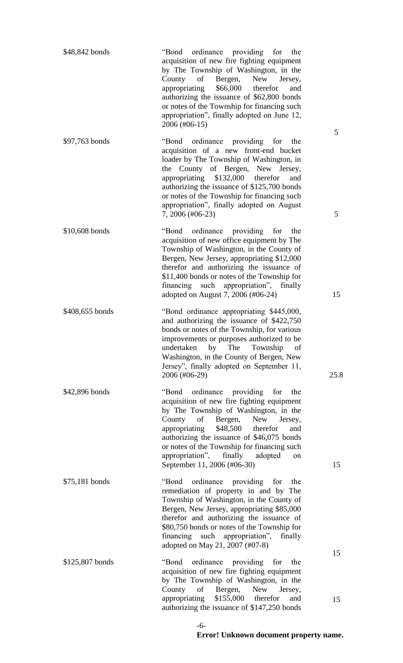| \$48,842 bonds  | "Bond ordinance providing for the<br>acquisition of new fire fighting equipment<br>by The Township of Washington, in the<br>of<br>Bergen,<br>New<br>County<br>Jersey,<br>\$66,000<br>appropriating<br>therefor<br>and<br>authorizing the issuance of \$62,800 bonds<br>or notes of the Township for financing such<br>appropriation", finally adopted on June 12,<br>2006 (#06-15) |        |
|-----------------|------------------------------------------------------------------------------------------------------------------------------------------------------------------------------------------------------------------------------------------------------------------------------------------------------------------------------------------------------------------------------------|--------|
| \$97,763 bonds  | ordinance providing for<br>"Bond<br>the<br>acquisition of a new front-end bucket<br>loader by The Township of Washington, in<br>the County of Bergen, New Jersey,<br>appropriating \$132,000<br>therefor<br>and<br>authorizing the issuance of \$125,700 bonds<br>or notes of the Township for financing such<br>appropriation", finally adopted on August<br>7, 2006 (#06-23)     | 5<br>5 |
| \$10,608 bonds  | "Bond ordinance providing for<br>the<br>acquisition of new office equipment by The<br>Township of Washington, in the County of<br>Bergen, New Jersey, appropriating \$12,000<br>therefor and authorizing the issuance of<br>\$11,400 bonds or notes of the Township for<br>financing such appropriation", finally<br>adopted on August 7, 2006 (#06-24)                            | 15     |
| \$408,655 bonds | "Bond ordinance appropriating \$445,000,<br>and authorizing the issuance of \$422,750<br>bonds or notes of the Township, for various<br>improvements or purposes authorized to be<br>undertaken by The Township of<br>Washington, in the County of Bergen, New<br>Jersey", finally adopted on September 11,<br>2006 (#06-29)                                                       | 25.8   |
| \$42,896 bonds  | "Bond ordinance providing for<br>the<br>acquisition of new fire fighting equipment<br>by The Township of Washington, in the<br>County of Bergen, New Jersey,<br>\$48,500 therefor<br>appropriating<br>and<br>authorizing the issuance of \$46,075 bonds<br>or notes of the Township for financing such<br>appropriation", finally adopted<br>on<br>September 11, 2006 (#06-30)     | 15     |
| $$75,181$ bonds | "Bond ordinance providing for<br>the<br>remediation of property in and by The<br>Township of Washington, in the County of<br>Bergen, New Jersey, appropriating \$85,000<br>therefor and authorizing the issuance of<br>\$80,750 bonds or notes of the Township for<br>financing such appropriation",<br>finally<br>adopted on May 21, 2007 (#07-8)                                 |        |
| \$125,807 bonds | "Bond ordinance providing for<br>the<br>acquisition of new fire fighting equipment<br>by The Township of Washington, in the<br>County of Bergen, New Jersey,                                                                                                                                                                                                                       | 15     |
|                 | appropriating \$155,000 therefor<br>and<br>authorizing the issuance of \$147,250 bonds                                                                                                                                                                                                                                                                                             | 15     |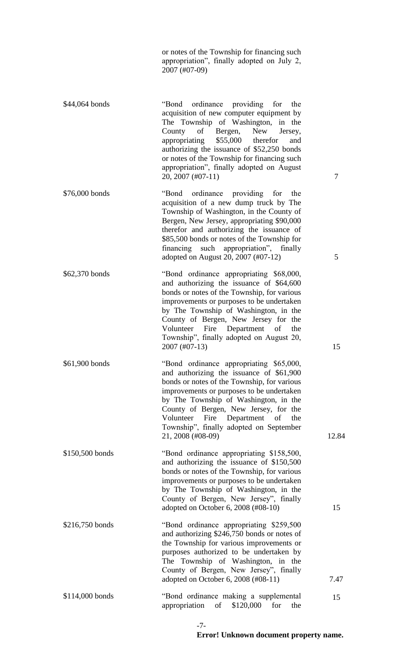or notes of the Township for financing such appropriation", finally adopted on July 2, 2007 (#07-09)

acquisition of new computer equipment by

The Township of Washington, in the County of Bergen, New Jersey, appropriating \$55,000 therefor and authorizing the issuance of \$52,250 bonds or notes of the Township for financing such appropriation", finally adopted on August 20, 2007 (#07-11) 7 \$76,000 bonds "Bond ordinance providing for the acquisition of a new dump truck by The Township of Washington, in the County of Bergen, New Jersey, appropriating \$90,000 therefor and authorizing the issuance of \$85,500 bonds or notes of the Township for financing such appropriation", finally adopted on August 20, 2007 (#07-12) 5 \$62,370 bonds "Bond ordinance appropriating \$68,000, and authorizing the issuance of \$64,600 bonds or notes of the Township, for various improvements or purposes to be undertaken by The Township of Washington, in the County of Bergen, New Jersey for the Volunteer Fire Department of the Township", finally adopted on August 20, 2007 (#07-13) 15 \$61,900 bonds "Bond ordinance appropriating \$65,000, and authorizing the issuance of \$61,900 bonds or notes of the Township, for various improvements or purposes to be undertaken by The Township of Washington, in the County of Bergen, New Jersey, for the Volunteer Fire Department of the Township", finally adopted on September 21, 2008 (#08-09) 12.84 \$150,500 bonds "Bond ordinance appropriating \$158,500, and authorizing the issuance of \$150,500 bonds or notes of the Township, for various improvements or purposes to be undertaken by The Township of Washington, in the County of Bergen, New Jersey", finally adopted on October 6, 2008 (#08-10) 15 \$216,750 bonds "Bond ordinance appropriating \$259,500 and authorizing \$246,750 bonds or notes of the Township for various improvements or purposes authorized to be undertaken by The Township of Washington, in the County of Bergen, New Jersey", finally adopted on October 6, 2008 (#08-11) 7.47 \$114,000 bonds "Bond ordinance making a supplemental appropriation of \$120,000 for the

\$44,064 bonds "Bond ordinance providing for the

15

-7-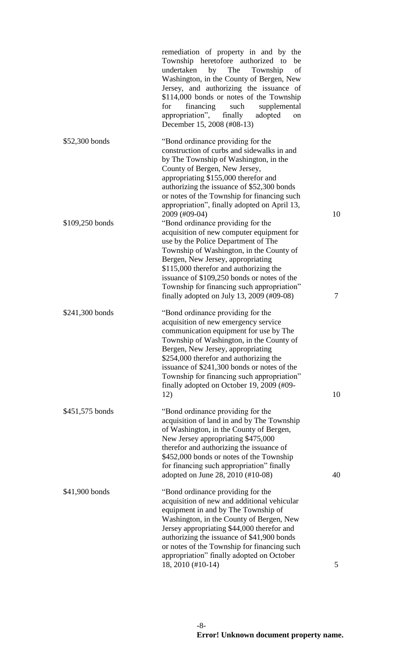|                 | remediation of property in and by the<br>Township heretofore authorized to<br>be<br>undertaken<br>by<br>The<br>Township<br>of<br>Washington, in the County of Bergen, New<br>Jersey, and authorizing the issuance of<br>\$114,000 bonds or notes of the Township<br>financing<br>such<br>supplemental<br>for<br>appropriation", finally<br>adopted<br>on<br>December 15, 2008 (#08-13)               |        |
|-----------------|------------------------------------------------------------------------------------------------------------------------------------------------------------------------------------------------------------------------------------------------------------------------------------------------------------------------------------------------------------------------------------------------------|--------|
| \$52,300 bonds  | "Bond ordinance providing for the<br>construction of curbs and sidewalks in and<br>by The Township of Washington, in the<br>County of Bergen, New Jersey,<br>appropriating \$155,000 therefor and<br>authorizing the issuance of \$52,300 bonds<br>or notes of the Township for financing such<br>appropriation", finally adopted on April 13,<br>2009 (#09-04)                                      | 10     |
| \$109,250 bonds | "Bond ordinance providing for the<br>acquisition of new computer equipment for<br>use by the Police Department of The<br>Township of Washington, in the County of<br>Bergen, New Jersey, appropriating<br>\$115,000 therefor and authorizing the<br>issuance of \$109,250 bonds or notes of the<br>Township for financing such appropriation"<br>finally adopted on July 13, 2009 $(\text{\#09-08})$ | $\tau$ |
| \$241,300 bonds | "Bond ordinance providing for the<br>acquisition of new emergency service<br>communication equipment for use by The<br>Township of Washington, in the County of<br>Bergen, New Jersey, appropriating<br>\$254,000 therefor and authorizing the<br>issuance of \$241,300 bonds or notes of the<br>Township for financing such appropriation"<br>finally adopted on October 19, 2009 (#09-<br>12)      | 10     |
| \$451,575 bonds | "Bond ordinance providing for the<br>acquisition of land in and by The Township<br>of Washington, in the County of Bergen,<br>New Jersey appropriating \$475,000<br>therefor and authorizing the issuance of<br>\$452,000 bonds or notes of the Township<br>for financing such appropriation" finally<br>adopted on June 28, 2010 (#10-08)                                                           | 40     |
| \$41,900 bonds  | "Bond ordinance providing for the<br>acquisition of new and additional vehicular<br>equipment in and by The Township of<br>Washington, in the County of Bergen, New<br>Jersey appropriating \$44,000 therefor and<br>authorizing the issuance of \$41,900 bonds<br>or notes of the Township for financing such<br>appropriation" finally adopted on October                                          |        |
|                 | 18, 2010 (#10-14)                                                                                                                                                                                                                                                                                                                                                                                    | 5      |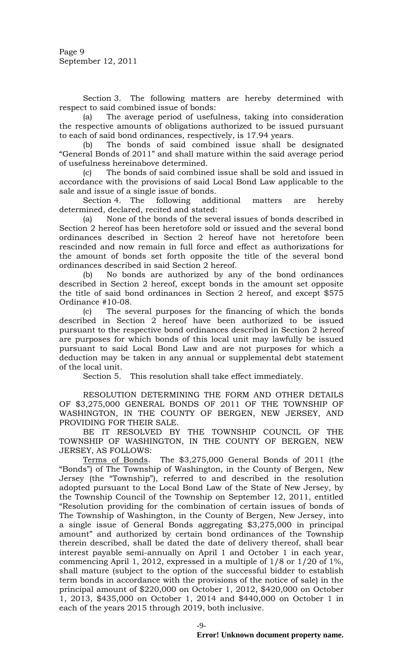Section 3. The following matters are hereby determined with respect to said combined issue of bonds:

(a) The average period of usefulness, taking into consideration the respective amounts of obligations authorized to be issued pursuant to each of said bond ordinances, respectively, is 17.94 years.

(b) The bonds of said combined issue shall be designated "General Bonds of 2011" and shall mature within the said average period of usefulness hereinabove determined.

(c) The bonds of said combined issue shall be sold and issued in accordance with the provisions of said Local Bond Law applicable to the sale and issue of a single issue of bonds.

Section 4. The following additional matters are hereby determined, declared, recited and stated:

(a) None of the bonds of the several issues of bonds described in Section 2 hereof has been heretofore sold or issued and the several bond ordinances described in Section 2 hereof have not heretofore been rescinded and now remain in full force and effect as authorizations for the amount of bonds set forth opposite the title of the several bond ordinances described in said Section 2 hereof.

(b) No bonds are authorized by any of the bond ordinances described in Section 2 hereof, except bonds in the amount set opposite the title of said bond ordinances in Section 2 hereof, and except \$575 Ordinance #10-08.

(c) The several purposes for the financing of which the bonds described in Section 2 hereof have been authorized to be issued pursuant to the respective bond ordinances described in Section 2 hereof are purposes for which bonds of this local unit may lawfully be issued pursuant to said Local Bond Law and are not purposes for which a deduction may be taken in any annual or supplemental debt statement of the local unit.

Section 5. This resolution shall take effect immediately.

RESOLUTION DETERMINING THE FORM AND OTHER DETAILS OF \$3,275,000 GENERAL BONDS OF 2011 OF THE TOWNSHIP OF WASHINGTON, IN THE COUNTY OF BERGEN, NEW JERSEY, AND PROVIDING FOR THEIR SALE.

BE IT RESOLVED BY THE TOWNSHIP COUNCIL OF THE TOWNSHIP OF WASHINGTON, IN THE COUNTY OF BERGEN, NEW JERSEY, AS FOLLOWS:

Terms of Bonds. The \$3,275,000 General Bonds of 2011 (the "Bonds") of The Township of Washington, in the County of Bergen, New Jersey (the "Township"), referred to and described in the resolution adopted pursuant to the Local Bond Law of the State of New Jersey, by the Township Council of the Township on September 12, 2011, entitled "Resolution providing for the combination of certain issues of bonds of The Township of Washington, in the County of Bergen, New Jersey, into a single issue of General Bonds aggregating \$3,275,000 in principal amount" and authorized by certain bond ordinances of the Township therein described, shall be dated the date of delivery thereof, shall bear interest payable semi-annually on April 1 and October 1 in each year, commencing April 1, 2012, expressed in a multiple of 1/8 or 1/20 of 1%, shall mature (subject to the option of the successful bidder to establish term bonds in accordance with the provisions of the notice of sale) in the principal amount of \$220,000 on October 1, 2012, \$420,000 on October 1, 2013, \$435,000 on October 1, 2014 and \$440,000 on October 1 in each of the years 2015 through 2019, both inclusive.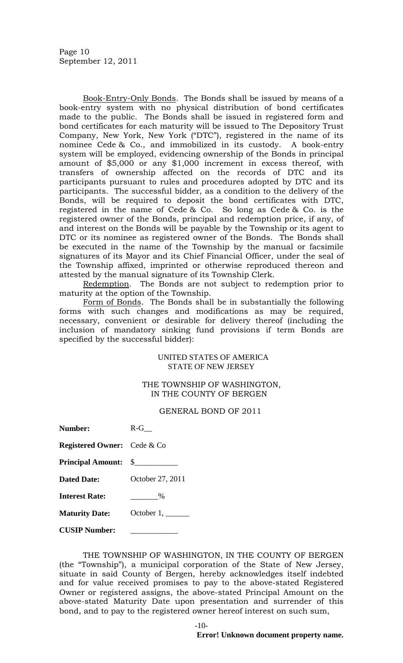Page 10 September 12, 2011

Book-Entry-Only Bonds. The Bonds shall be issued by means of a book-entry system with no physical distribution of bond certificates made to the public. The Bonds shall be issued in registered form and bond certificates for each maturity will be issued to The Depository Trust Company, New York, New York ("DTC"), registered in the name of its nominee Cede & Co., and immobilized in its custody. A book-entry system will be employed, evidencing ownership of the Bonds in principal amount of \$5,000 or any \$1,000 increment in excess thereof, with transfers of ownership affected on the records of DTC and its participants pursuant to rules and procedures adopted by DTC and its participants. The successful bidder, as a condition to the delivery of the Bonds, will be required to deposit the bond certificates with DTC, registered in the name of Cede & Co. So long as Cede & Co. is the registered owner of the Bonds, principal and redemption price, if any, of and interest on the Bonds will be payable by the Township or its agent to DTC or its nominee as registered owner of the Bonds. The Bonds shall be executed in the name of the Township by the manual or facsimile signatures of its Mayor and its Chief Financial Officer, under the seal of the Township affixed, imprinted or otherwise reproduced thereon and attested by the manual signature of its Township Clerk.

Redemption. The Bonds are not subject to redemption prior to maturity at the option of the Township.

Form of Bonds. The Bonds shall be in substantially the following forms with such changes and modifications as may be required, necessary, convenient or desirable for delivery thereof (including the inclusion of mandatory sinking fund provisions if term Bonds are specified by the successful bidder):

# UNITED STATES OF AMERICA STATE OF NEW JERSEY

# THE TOWNSHIP OF WASHINGTON, IN THE COUNTY OF BERGEN

# GENERAL BOND OF 2011

| Number:                            | $R-G$            |
|------------------------------------|------------------|
| <b>Registered Owner:</b> Cede & Co |                  |
| <b>Principal Amount:</b> \$        |                  |
| <b>Dated Date:</b>                 | October 27, 2011 |
| <b>Interest Rate:</b>              | $\%$             |
| <b>Maturity Date:</b>              | October 1,       |

**CUSIP Number:** \_\_\_\_\_\_\_\_\_\_\_\_

THE TOWNSHIP OF WASHINGTON, IN THE COUNTY OF BERGEN (the "Township"), a municipal corporation of the State of New Jersey, situate in said County of Bergen, hereby acknowledges itself indebted and for value received promises to pay to the above-stated Registered Owner or registered assigns, the above-stated Principal Amount on the above-stated Maturity Date upon presentation and surrender of this bond, and to pay to the registered owner hereof interest on such sum,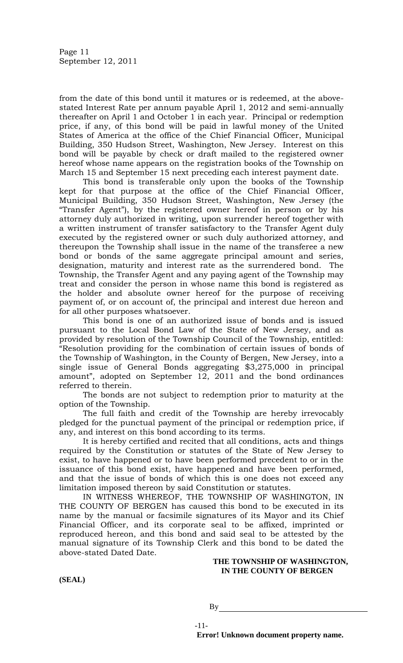from the date of this bond until it matures or is redeemed, at the abovestated Interest Rate per annum payable April 1, 2012 and semi-annually thereafter on April 1 and October 1 in each year. Principal or redemption price, if any, of this bond will be paid in lawful money of the United States of America at the office of the Chief Financial Officer, Municipal Building, 350 Hudson Street, Washington, New Jersey. Interest on this bond will be payable by check or draft mailed to the registered owner hereof whose name appears on the registration books of the Township on March 15 and September 15 next preceding each interest payment date.

This bond is transferable only upon the books of the Township kept for that purpose at the office of the Chief Financial Officer, Municipal Building, 350 Hudson Street, Washington, New Jersey (the "Transfer Agent"), by the registered owner hereof in person or by his attorney duly authorized in writing, upon surrender hereof together with a written instrument of transfer satisfactory to the Transfer Agent duly executed by the registered owner or such duly authorized attorney, and thereupon the Township shall issue in the name of the transferee a new bond or bonds of the same aggregate principal amount and series, designation, maturity and interest rate as the surrendered bond. The Township, the Transfer Agent and any paying agent of the Township may treat and consider the person in whose name this bond is registered as the holder and absolute owner hereof for the purpose of receiving payment of, or on account of, the principal and interest due hereon and for all other purposes whatsoever.

This bond is one of an authorized issue of bonds and is issued pursuant to the Local Bond Law of the State of New Jersey, and as provided by resolution of the Township Council of the Township, entitled: "Resolution providing for the combination of certain issues of bonds of the Township of Washington, in the County of Bergen, New Jersey, into a single issue of General Bonds aggregating \$3,275,000 in principal amount", adopted on September 12, 2011 and the bond ordinances referred to therein.

The bonds are not subject to redemption prior to maturity at the option of the Township.

The full faith and credit of the Township are hereby irrevocably pledged for the punctual payment of the principal or redemption price, if any, and interest on this bond according to its terms.

It is hereby certified and recited that all conditions, acts and things required by the Constitution or statutes of the State of New Jersey to exist, to have happened or to have been performed precedent to or in the issuance of this bond exist, have happened and have been performed, and that the issue of bonds of which this is one does not exceed any limitation imposed thereon by said Constitution or statutes.

IN WITNESS WHEREOF, THE TOWNSHIP OF WASHINGTON, IN THE COUNTY OF BERGEN has caused this bond to be executed in its name by the manual or facsimile signatures of its Mayor and its Chief Financial Officer, and its corporate seal to be affixed, imprinted or reproduced hereon, and this bond and said seal to be attested by the manual signature of its Township Clerk and this bond to be dated the above-stated Dated Date.

# **THE TOWNSHIP OF WASHINGTON, IN THE COUNTY OF BERGEN**

**(SEAL)**

By

-11-

**Error! Unknown document property name.**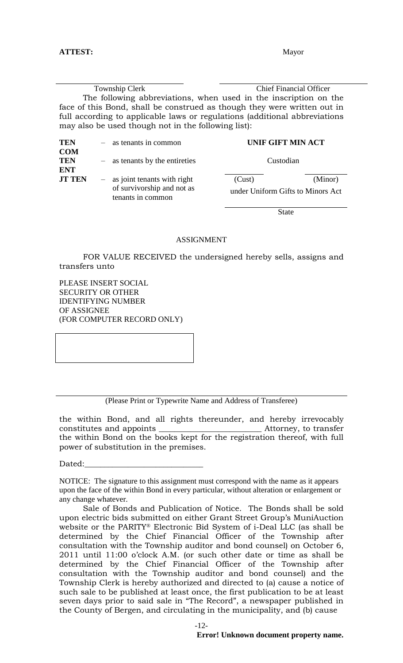Township Clerk Chief Financial Officer The following abbreviations, when used in the inscription on the face of this Bond, shall be construed as though they were written out in full according to applicable laws or regulations (additional abbreviations may also be used though not in the following list):

| <b>TEN</b>                             | $-$ as tenants in common                                                           | <b>UNIF GIFT MIN ACT</b>                    |         |
|----------------------------------------|------------------------------------------------------------------------------------|---------------------------------------------|---------|
| <b>COM</b><br><b>TEN</b><br><b>ENT</b> | $-$ as tenants by the entireties                                                   | Custodian                                   |         |
| <b>JT TEN</b>                          | $-$ as joint tenants with right<br>of survivorship and not as<br>tenants in common | (Cust)<br>under Uniform Gifts to Minors Act | (Minor) |

State

# ASSIGNMENT

FOR VALUE RECEIVED the undersigned hereby sells, assigns and transfers unto

PLEASE INSERT SOCIAL SECURITY OR OTHER IDENTIFYING NUMBER OF ASSIGNEE (FOR COMPUTER RECORD ONLY)

(Please Print or Typewrite Name and Address of Transferee)

the within Bond, and all rights thereunder, and hereby irrevocably constitutes and appoints \_\_\_\_\_\_\_\_\_\_\_\_\_\_\_\_\_\_\_\_\_\_\_\_\_\_ Attorney, to transfer the within Bond on the books kept for the registration thereof, with full power of substitution in the premises.

Dated:

NOTICE:The signature to this assignment must correspond with the name as it appears upon the face of the within Bond in every particular, without alteration or enlargement or any change whatever.

Sale of Bonds and Publication of Notice. The Bonds shall be sold upon electric bids submitted on either Grant Street Group's MuniAuction website or the PARITY® Electronic Bid System of i-Deal LLC (as shall be determined by the Chief Financial Officer of the Township after consultation with the Township auditor and bond counsel) on October 6, 2011 until 11:00 o'clock A.M. (or such other date or time as shall be determined by the Chief Financial Officer of the Township after consultation with the Township auditor and bond counsel) and the Township Clerk is hereby authorized and directed to (a) cause a notice of such sale to be published at least once, the first publication to be at least seven days prior to said sale in "The Record", a newspaper published in the County of Bergen, and circulating in the municipality, and (b) cause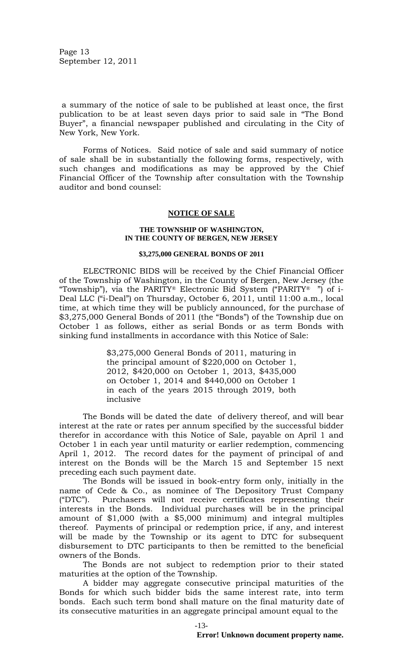Page 13 September 12, 2011

a summary of the notice of sale to be published at least once, the first publication to be at least seven days prior to said sale in "The Bond Buyer", a financial newspaper published and circulating in the City of New York, New York.

Forms of Notices. Said notice of sale and said summary of notice of sale shall be in substantially the following forms, respectively, with such changes and modifications as may be approved by the Chief Financial Officer of the Township after consultation with the Township auditor and bond counsel:

### **NOTICE OF SALE**

#### **THE TOWNSHIP OF WASHINGTON, IN THE COUNTY OF BERGEN, NEW JERSEY**

#### **\$3,275,000 GENERAL BONDS OF 2011**

ELECTRONIC BIDS will be received by the Chief Financial Officer of the Township of Washington, in the County of Bergen, New Jersey (the "Township"), via the PARITY® Electronic Bid System ("PARITY®") of i-Deal LLC ("i-Deal") on Thursday, October 6, 2011, until 11:00 a.m., local time, at which time they will be publicly announced, for the purchase of \$3,275,000 General Bonds of 2011 (the "Bonds") of the Township due on October 1 as follows, either as serial Bonds or as term Bonds with sinking fund installments in accordance with this Notice of Sale:

> \$3,275,000 General Bonds of 2011, maturing in the principal amount of \$220,000 on October 1, 2012, \$420,000 on October 1, 2013, \$435,000 on October 1, 2014 and \$440,000 on October 1 in each of the years 2015 through 2019, both inclusive

The Bonds will be dated the date of delivery thereof, and will bear interest at the rate or rates per annum specified by the successful bidder therefor in accordance with this Notice of Sale, payable on April 1 and October 1 in each year until maturity or earlier redemption, commencing April 1, 2012. The record dates for the payment of principal of and interest on the Bonds will be the March 15 and September 15 next preceding each such payment date.

The Bonds will be issued in book-entry form only, initially in the name of Cede & Co., as nominee of The Depository Trust Company ("DTC"). Purchasers will not receive certificates representing their interests in the Bonds. Individual purchases will be in the principal amount of \$1,000 (with a \$5,000 minimum) and integral multiples thereof. Payments of principal or redemption price, if any, and interest will be made by the Township or its agent to DTC for subsequent disbursement to DTC participants to then be remitted to the beneficial owners of the Bonds.

The Bonds are not subject to redemption prior to their stated maturities at the option of the Township.

A bidder may aggregate consecutive principal maturities of the Bonds for which such bidder bids the same interest rate, into term bonds. Each such term bond shall mature on the final maturity date of its consecutive maturities in an aggregate principal amount equal to the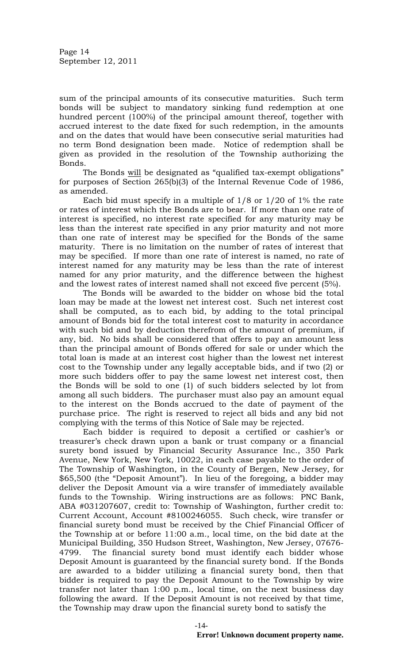sum of the principal amounts of its consecutive maturities. Such term bonds will be subject to mandatory sinking fund redemption at one hundred percent (100%) of the principal amount thereof, together with accrued interest to the date fixed for such redemption, in the amounts and on the dates that would have been consecutive serial maturities had no term Bond designation been made. Notice of redemption shall be given as provided in the resolution of the Township authorizing the Bonds.

The Bonds will be designated as "qualified tax-exempt obligations" for purposes of Section 265(b)(3) of the Internal Revenue Code of 1986, as amended.

Each bid must specify in a multiple of 1/8 or 1/20 of 1% the rate or rates of interest which the Bonds are to bear. If more than one rate of interest is specified, no interest rate specified for any maturity may be less than the interest rate specified in any prior maturity and not more than one rate of interest may be specified for the Bonds of the same maturity. There is no limitation on the number of rates of interest that may be specified. If more than one rate of interest is named, no rate of interest named for any maturity may be less than the rate of interest named for any prior maturity, and the difference between the highest and the lowest rates of interest named shall not exceed five percent (5%).

The Bonds will be awarded to the bidder on whose bid the total loan may be made at the lowest net interest cost. Such net interest cost shall be computed, as to each bid, by adding to the total principal amount of Bonds bid for the total interest cost to maturity in accordance with such bid and by deduction therefrom of the amount of premium, if any, bid. No bids shall be considered that offers to pay an amount less than the principal amount of Bonds offered for sale or under which the total loan is made at an interest cost higher than the lowest net interest cost to the Township under any legally acceptable bids, and if two (2) or more such bidders offer to pay the same lowest net interest cost, then the Bonds will be sold to one (1) of such bidders selected by lot from among all such bidders. The purchaser must also pay an amount equal to the interest on the Bonds accrued to the date of payment of the purchase price. The right is reserved to reject all bids and any bid not complying with the terms of this Notice of Sale may be rejected.

Each bidder is required to deposit a certified or cashier's or treasurer's check drawn upon a bank or trust company or a financial surety bond issued by Financial Security Assurance Inc., 350 Park Avenue, New York, New York, 10022, in each case payable to the order of The Township of Washington, in the County of Bergen, New Jersey, for \$65,500 (the "Deposit Amount"). In lieu of the foregoing, a bidder may deliver the Deposit Amount via a wire transfer of immediately available funds to the Township. Wiring instructions are as follows: PNC Bank, ABA #031207607, credit to: Township of Washington, further credit to: Current Account, Account #8100246055. Such check, wire transfer or financial surety bond must be received by the Chief Financial Officer of the Township at or before 11:00 a.m., local time, on the bid date at the Municipal Building, 350 Hudson Street, Washington, New Jersey, 07676- 4799. The financial surety bond must identify each bidder whose Deposit Amount is guaranteed by the financial surety bond. If the Bonds are awarded to a bidder utilizing a financial surety bond, then that bidder is required to pay the Deposit Amount to the Township by wire transfer not later than 1:00 p.m., local time, on the next business day following the award. If the Deposit Amount is not received by that time, the Township may draw upon the financial surety bond to satisfy the

-14-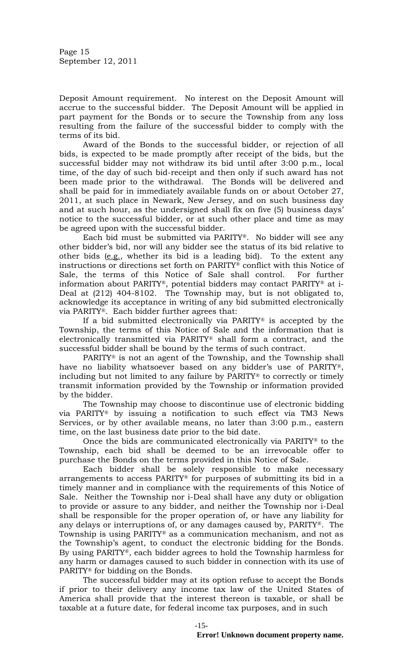Page 15 September 12, 2011

Deposit Amount requirement. No interest on the Deposit Amount will accrue to the successful bidder. The Deposit Amount will be applied in part payment for the Bonds or to secure the Township from any loss resulting from the failure of the successful bidder to comply with the terms of its bid.

Award of the Bonds to the successful bidder, or rejection of all bids, is expected to be made promptly after receipt of the bids, but the successful bidder may not withdraw its bid until after 3:00 p.m., local time, of the day of such bid-receipt and then only if such award has not been made prior to the withdrawal. The Bonds will be delivered and shall be paid for in immediately available funds on or about October 27, 2011, at such place in Newark, New Jersey, and on such business day and at such hour, as the undersigned shall fix on five (5) business days' notice to the successful bidder, or at such other place and time as may be agreed upon with the successful bidder.

Each bid must be submitted via PARITY®. No bidder will see any other bidder's bid, nor will any bidder see the status of its bid relative to other bids (e.g., whether its bid is a leading bid). To the extent any instructions or directions set forth on PARITY® conflict with this Notice of Sale, the terms of this Notice of Sale shall control. For further information about PARITY®, potential bidders may contact PARITY® at i-Deal at (212) 404-8102. The Township may, but is not obligated to, acknowledge its acceptance in writing of any bid submitted electronically via PARITY®. Each bidder further agrees that:

If a bid submitted electronically via PARITY® is accepted by the Township, the terms of this Notice of Sale and the information that is electronically transmitted via PARITY® shall form a contract, and the successful bidder shall be bound by the terms of such contract.

PARITY® is not an agent of the Township, and the Township shall have no liability whatsoever based on any bidder's use of PARITY®, including but not limited to any failure by PARITY® to correctly or timely transmit information provided by the Township or information provided by the bidder.

The Township may choose to discontinue use of electronic bidding via PARITY® by issuing a notification to such effect via TM3 News Services, or by other available means, no later than 3:00 p.m., eastern time, on the last business date prior to the bid date.

Once the bids are communicated electronically via PARITY® to the Township, each bid shall be deemed to be an irrevocable offer to purchase the Bonds on the terms provided in this Notice of Sale.

Each bidder shall be solely responsible to make necessary arrangements to access PARITY® for purposes of submitting its bid in a timely manner and in compliance with the requirements of this Notice of Sale. Neither the Township nor i-Deal shall have any duty or obligation to provide or assure to any bidder, and neither the Township nor i-Deal shall be responsible for the proper operation of, or have any liability for any delays or interruptions of, or any damages caused by, PARITY®. The Township is using PARITY® as a communication mechanism, and not as the Township's agent, to conduct the electronic bidding for the Bonds. By using PARITY®, each bidder agrees to hold the Township harmless for any harm or damages caused to such bidder in connection with its use of PARITY® for bidding on the Bonds.

The successful bidder may at its option refuse to accept the Bonds if prior to their delivery any income tax law of the United States of America shall provide that the interest thereon is taxable, or shall be taxable at a future date, for federal income tax purposes, and in such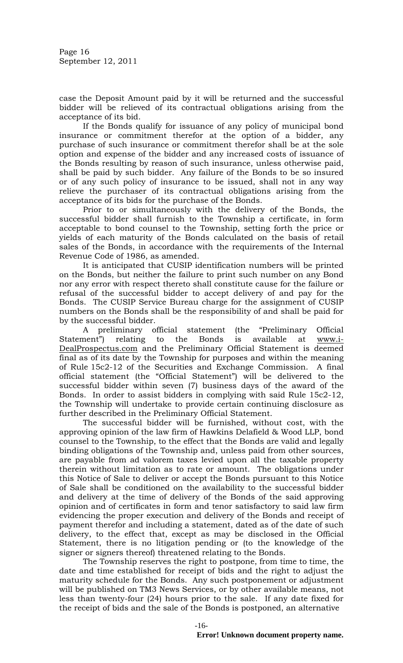Page 16 September 12, 2011

case the Deposit Amount paid by it will be returned and the successful bidder will be relieved of its contractual obligations arising from the acceptance of its bid.

If the Bonds qualify for issuance of any policy of municipal bond insurance or commitment therefor at the option of a bidder, any purchase of such insurance or commitment therefor shall be at the sole option and expense of the bidder and any increased costs of issuance of the Bonds resulting by reason of such insurance, unless otherwise paid, shall be paid by such bidder. Any failure of the Bonds to be so insured or of any such policy of insurance to be issued, shall not in any way relieve the purchaser of its contractual obligations arising from the acceptance of its bids for the purchase of the Bonds.

Prior to or simultaneously with the delivery of the Bonds, the successful bidder shall furnish to the Township a certificate, in form acceptable to bond counsel to the Township, setting forth the price or yields of each maturity of the Bonds calculated on the basis of retail sales of the Bonds, in accordance with the requirements of the Internal Revenue Code of 1986, as amended.

It is anticipated that CUSIP identification numbers will be printed on the Bonds, but neither the failure to print such number on any Bond nor any error with respect thereto shall constitute cause for the failure or refusal of the successful bidder to accept delivery of and pay for the Bonds. The CUSIP Service Bureau charge for the assignment of CUSIP numbers on the Bonds shall be the responsibility of and shall be paid for by the successful bidder.

A preliminary official statement (the "Preliminary Official Statement") relating to the Bonds is available at www.i-DealProspectus.com and the Preliminary Official Statement is deemed final as of its date by the Township for purposes and within the meaning of Rule 15c2-12 of the Securities and Exchange Commission. A final official statement (the "Official Statement") will be delivered to the successful bidder within seven (7) business days of the award of the Bonds. In order to assist bidders in complying with said Rule 15c2-12, the Township will undertake to provide certain continuing disclosure as further described in the Preliminary Official Statement.

The successful bidder will be furnished, without cost, with the approving opinion of the law firm of Hawkins Delafield & Wood LLP, bond counsel to the Township, to the effect that the Bonds are valid and legally binding obligations of the Township and, unless paid from other sources, are payable from ad valorem taxes levied upon all the taxable property therein without limitation as to rate or amount. The obligations under this Notice of Sale to deliver or accept the Bonds pursuant to this Notice of Sale shall be conditioned on the availability to the successful bidder and delivery at the time of delivery of the Bonds of the said approving opinion and of certificates in form and tenor satisfactory to said law firm evidencing the proper execution and delivery of the Bonds and receipt of payment therefor and including a statement, dated as of the date of such delivery, to the effect that, except as may be disclosed in the Official Statement, there is no litigation pending or (to the knowledge of the signer or signers thereof) threatened relating to the Bonds.

The Township reserves the right to postpone, from time to time, the date and time established for receipt of bids and the right to adjust the maturity schedule for the Bonds. Any such postponement or adjustment will be published on TM3 News Services, or by other available means, not less than twenty-four (24) hours prior to the sale. If any date fixed for the receipt of bids and the sale of the Bonds is postponed, an alternative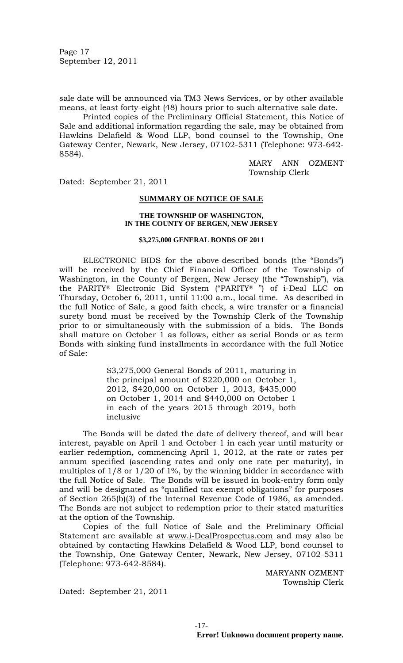Page 17 September 12, 2011

sale date will be announced via TM3 News Services, or by other available means, at least forty-eight (48) hours prior to such alternative sale date.

Printed copies of the Preliminary Official Statement, this Notice of Sale and additional information regarding the sale, may be obtained from Hawkins Delafield & Wood LLP, bond counsel to the Township, One Gateway Center, Newark, New Jersey, 07102-5311 (Telephone: 973-642- 8584).

> MARY ANN OZMENT Township Clerk

Dated: September 21, 2011

#### **SUMMARY OF NOTICE OF SALE**

#### **THE TOWNSHIP OF WASHINGTON, IN THE COUNTY OF BERGEN, NEW JERSEY**

### **\$3,275,000 GENERAL BONDS OF 2011**

ELECTRONIC BIDS for the above-described bonds (the "Bonds") will be received by the Chief Financial Officer of the Township of Washington, in the County of Bergen, New Jersey (the "Township"), via the PARITY® Electronic Bid System ("PARITY® ") of i-Deal LLC on Thursday, October 6, 2011, until 11:00 a.m., local time.As described in the full Notice of Sale, a good faith check, a wire transfer or a financial surety bond must be received by the Township Clerk of the Township prior to or simultaneously with the submission of a bids. The Bonds shall mature on October 1 as follows, either as serial Bonds or as term Bonds with sinking fund installments in accordance with the full Notice of Sale:

> \$3,275,000 General Bonds of 2011, maturing in the principal amount of \$220,000 on October 1, 2012, \$420,000 on October 1, 2013, \$435,000 on October 1, 2014 and \$440,000 on October 1 in each of the years 2015 through 2019, both inclusive

The Bonds will be dated the date of delivery thereof, and will bear interest, payable on April 1 and October 1 in each year until maturity or earlier redemption, commencing April 1, 2012, at the rate or rates per annum specified (ascending rates and only one rate per maturity), in multiples of 1/8 or 1/20 of 1%, by the winning bidder in accordance with the full Notice of Sale. The Bonds will be issued in book-entry form only and will be designated as "qualified tax-exempt obligations" for purposes of Section 265(b)(3) of the Internal Revenue Code of 1986, as amended. The Bonds are not subject to redemption prior to their stated maturities at the option of the Township.

Copies of the full Notice of Sale and the Preliminary Official Statement are available at www.i-DealProspectus.com and may also be obtained by contacting Hawkins Delafield & Wood LLP, bond counsel to the Township, One Gateway Center, Newark, New Jersey, 07102-5311 (Telephone: 973-642-8584).

> MARYANN OZMENT Township Clerk

Dated: September 21, 2011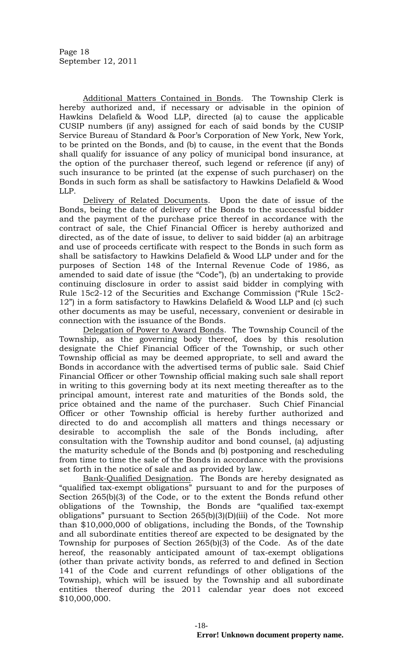Additional Matters Contained in Bonds. The Township Clerk is hereby authorized and, if necessary or advisable in the opinion of Hawkins Delafield & Wood LLP, directed (a) to cause the applicable CUSIP numbers (if any) assigned for each of said bonds by the CUSIP Service Bureau of Standard & Poor's Corporation of New York, New York, to be printed on the Bonds, and (b) to cause, in the event that the Bonds shall qualify for issuance of any policy of municipal bond insurance, at the option of the purchaser thereof, such legend or reference (if any) of such insurance to be printed (at the expense of such purchaser) on the Bonds in such form as shall be satisfactory to Hawkins Delafield & Wood LLP.

Delivery of Related Documents. Upon the date of issue of the Bonds, being the date of delivery of the Bonds to the successful bidder and the payment of the purchase price thereof in accordance with the contract of sale, the Chief Financial Officer is hereby authorized and directed, as of the date of issue, to deliver to said bidder (a) an arbitrage and use of proceeds certificate with respect to the Bonds in such form as shall be satisfactory to Hawkins Delafield & Wood LLP under and for the purposes of Section 148 of the Internal Revenue Code of 1986, as amended to said date of issue (the "Code"), (b) an undertaking to provide continuing disclosure in order to assist said bidder in complying with Rule 15c2-12 of the Securities and Exchange Commission ("Rule 15c2- 12") in a form satisfactory to Hawkins Delafield & Wood LLP and (c) such other documents as may be useful, necessary, convenient or desirable in connection with the issuance of the Bonds.

Delegation of Power to Award Bonds. The Township Council of the Township, as the governing body thereof, does by this resolution designate the Chief Financial Officer of the Township, or such other Township official as may be deemed appropriate, to sell and award the Bonds in accordance with the advertised terms of public sale. Said Chief Financial Officer or other Township official making such sale shall report in writing to this governing body at its next meeting thereafter as to the principal amount, interest rate and maturities of the Bonds sold, the price obtained and the name of the purchaser. Such Chief Financial Officer or other Township official is hereby further authorized and directed to do and accomplish all matters and things necessary or desirable to accomplish the sale of the Bonds including, after consultation with the Township auditor and bond counsel, (a) adjusting the maturity schedule of the Bonds and (b) postponing and rescheduling from time to time the sale of the Bonds in accordance with the provisions set forth in the notice of sale and as provided by law.

Bank-Qualified Designation. The Bonds are hereby designated as "qualified tax-exempt obligations" pursuant to and for the purposes of Section 265(b)(3) of the Code, or to the extent the Bonds refund other obligations of the Township, the Bonds are "qualified tax-exempt obligations" pursuant to Section  $265(b)(3)(D)(iii)$  of the Code. Not more than \$10,000,000 of obligations, including the Bonds, of the Township and all subordinate entities thereof are expected to be designated by the Township for purposes of Section 265(b)(3) of the Code. As of the date hereof, the reasonably anticipated amount of tax-exempt obligations (other than private activity bonds, as referred to and defined in Section 141 of the Code and current refundings of other obligations of the Township), which will be issued by the Township and all subordinate entities thereof during the 2011 calendar year does not exceed \$10,000,000.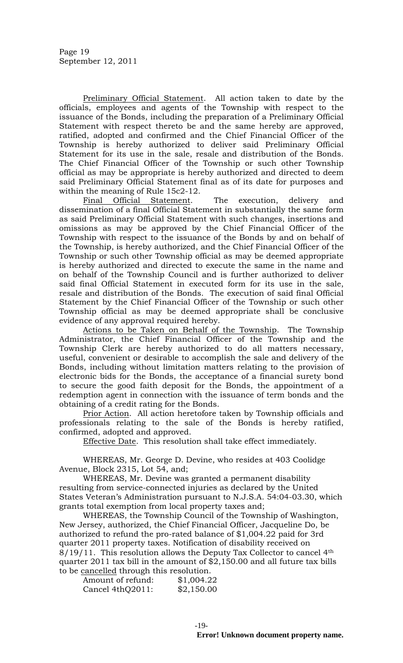Preliminary Official Statement. All action taken to date by the officials, employees and agents of the Township with respect to the issuance of the Bonds, including the preparation of a Preliminary Official Statement with respect thereto be and the same hereby are approved, ratified, adopted and confirmed and the Chief Financial Officer of the Township is hereby authorized to deliver said Preliminary Official Statement for its use in the sale, resale and distribution of the Bonds. The Chief Financial Officer of the Township or such other Township official as may be appropriate is hereby authorized and directed to deem said Preliminary Official Statement final as of its date for purposes and within the meaning of Rule 15c2-12.

Final Official Statement. The execution, delivery and dissemination of a final Official Statement in substantially the same form as said Preliminary Official Statement with such changes, insertions and omissions as may be approved by the Chief Financial Officer of the Township with respect to the issuance of the Bonds by and on behalf of the Township, is hereby authorized, and the Chief Financial Officer of the Township or such other Township official as may be deemed appropriate is hereby authorized and directed to execute the same in the name and on behalf of the Township Council and is further authorized to deliver said final Official Statement in executed form for its use in the sale, resale and distribution of the Bonds. The execution of said final Official Statement by the Chief Financial Officer of the Township or such other Township official as may be deemed appropriate shall be conclusive evidence of any approval required hereby.

Actions to be Taken on Behalf of the Township. The Township Administrator, the Chief Financial Officer of the Township and the Township Clerk are hereby authorized to do all matters necessary, useful, convenient or desirable to accomplish the sale and delivery of the Bonds, including without limitation matters relating to the provision of electronic bids for the Bonds, the acceptance of a financial surety bond to secure the good faith deposit for the Bonds, the appointment of a redemption agent in connection with the issuance of term bonds and the obtaining of a credit rating for the Bonds.

Prior Action. All action heretofore taken by Township officials and professionals relating to the sale of the Bonds is hereby ratified, confirmed, adopted and approved.

Effective Date. This resolution shall take effect immediately.

WHEREAS, Mr. George D. Devine, who resides at 403 Coolidge Avenue, Block 2315, Lot 54, and;

WHEREAS, Mr. Devine was granted a permanent disability resulting from service-connected injuries as declared by the United States Veteran's Administration pursuant to N.J.S.A. 54:04-03.30, which grants total exemption from local property taxes and;

WHEREAS, the Township Council of the Township of Washington, New Jersey, authorized, the Chief Financial Officer, Jacqueline Do, be authorized to refund the pro-rated balance of \$1,004.22 paid for 3rd quarter 2011 property taxes. Notification of disability received on  $8/19/11$ . This resolution allows the Deputy Tax Collector to cancel 4<sup>th</sup> quarter 2011 tax bill in the amount of \$2,150.00 and all future tax bills to be cancelled through this resolution.

| Amount of refund: | \$1,004.22 |
|-------------------|------------|
| Cancel 4thQ2011:  | \$2,150.00 |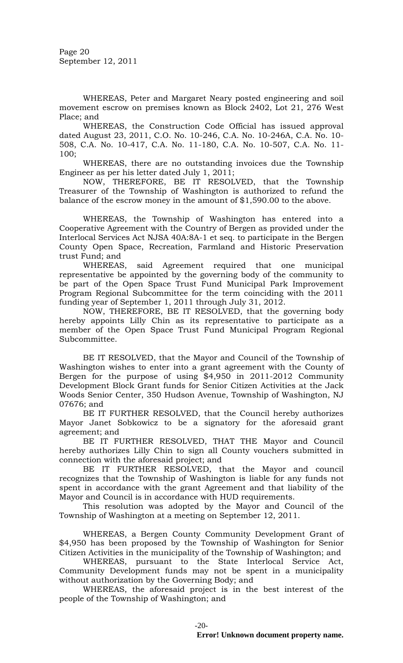Page 20 September 12, 2011

WHEREAS, Peter and Margaret Neary posted engineering and soil movement escrow on premises known as Block 2402, Lot 21, 276 West Place; and

WHEREAS, the Construction Code Official has issued approval dated August 23, 2011, C.O. No. 10-246, C.A. No. 10-246A, C.A. No. 10- 508, C.A. No. 10-417, C.A. No. 11-180, C.A. No. 10-507, C.A. No. 11- 100;

WHEREAS, there are no outstanding invoices due the Township Engineer as per his letter dated July 1, 2011;

NOW, THEREFORE, BE IT RESOLVED, that the Township Treasurer of the Township of Washington is authorized to refund the balance of the escrow money in the amount of \$1,590.00 to the above.

WHEREAS, the Township of Washington has entered into a Cooperative Agreement with the Country of Bergen as provided under the Interlocal Services Act NJSA 40A:8A-1 et seq. to participate in the Bergen County Open Space, Recreation, Farmland and Historic Preservation trust Fund; and

WHEREAS, said Agreement required that one municipal representative be appointed by the governing body of the community to be part of the Open Space Trust Fund Municipal Park Improvement Program Regional Subcommittee for the term coinciding with the 2011 funding year of September 1, 2011 through July 31, 2012.

NOW, THEREFORE, BE IT RESOLVED, that the governing body hereby appoints Lilly Chin as its representative to participate as a member of the Open Space Trust Fund Municipal Program Regional Subcommittee.

BE IT RESOLVED, that the Mayor and Council of the Township of Washington wishes to enter into a grant agreement with the County of Bergen for the purpose of using \$4,950 in 2011-2012 Community Development Block Grant funds for Senior Citizen Activities at the Jack Woods Senior Center, 350 Hudson Avenue, Township of Washington, NJ 07676; and

BE IT FURTHER RESOLVED, that the Council hereby authorizes Mayor Janet Sobkowicz to be a signatory for the aforesaid grant agreement; and

BE IT FURTHER RESOLVED, THAT THE Mayor and Council hereby authorizes Lilly Chin to sign all County vouchers submitted in connection with the aforesaid project; and

BE IT FURTHER RESOLVED, that the Mayor and council recognizes that the Township of Washington is liable for any funds not spent in accordance with the grant Agreement and that liability of the Mayor and Council is in accordance with HUD requirements.

This resolution was adopted by the Mayor and Council of the Township of Washington at a meeting on September 12, 2011.

WHEREAS, a Bergen County Community Development Grant of \$4,950 has been proposed by the Township of Washington for Senior Citizen Activities in the municipality of the Township of Washington; and

WHEREAS, pursuant to the State Interlocal Service Act, Community Development funds may not be spent in a municipality without authorization by the Governing Body; and

WHEREAS, the aforesaid project is in the best interest of the people of the Township of Washington; and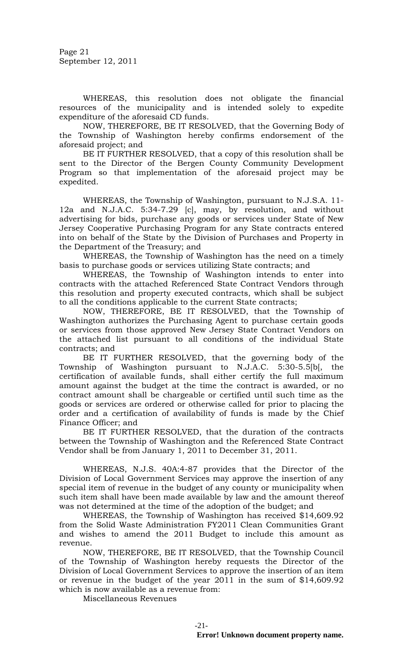Page 21 September 12, 2011

WHEREAS, this resolution does not obligate the financial resources of the municipality and is intended solely to expedite expenditure of the aforesaid CD funds.

NOW, THEREFORE, BE IT RESOLVED, that the Governing Body of the Township of Washington hereby confirms endorsement of the aforesaid project; and

BE IT FURTHER RESOLVED, that a copy of this resolution shall be sent to the Director of the Bergen County Community Development Program so that implementation of the aforesaid project may be expedited.

WHEREAS, the Township of Washington, pursuant to N.J.S.A. 11- 12a and N.J.A.C. 5:34-7.29 [c], may, by resolution, and without advertising for bids, purchase any goods or services under State of New Jersey Cooperative Purchasing Program for any State contracts entered into on behalf of the State by the Division of Purchases and Property in the Department of the Treasury; and

WHEREAS, the Township of Washington has the need on a timely basis to purchase goods or services utilizing State contracts; and

WHEREAS, the Township of Washington intends to enter into contracts with the attached Referenced State Contract Vendors through this resolution and property executed contracts, which shall be subject to all the conditions applicable to the current State contracts;

NOW, THEREFORE, BE IT RESOLVED, that the Township of Washington authorizes the Purchasing Agent to purchase certain goods or services from those approved New Jersey State Contract Vendors on the attached list pursuant to all conditions of the individual State contracts; and

BE IT FURTHER RESOLVED, that the governing body of the Township of Washington pursuant to N.J.A.C. 5:30-5.5[b[, the certification of available funds, shall either certify the full maximum amount against the budget at the time the contract is awarded, or no contract amount shall be chargeable or certified until such time as the goods or services are ordered or otherwise called for prior to placing the order and a certification of availability of funds is made by the Chief Finance Officer; and

BE IT FURTHER RESOLVED, that the duration of the contracts between the Township of Washington and the Referenced State Contract Vendor shall be from January 1, 2011 to December 31, 2011.

WHEREAS, N.J.S. 40A:4-87 provides that the Director of the Division of Local Government Services may approve the insertion of any special item of revenue in the budget of any county or municipality when such item shall have been made available by law and the amount thereof was not determined at the time of the adoption of the budget; and

WHEREAS, the Township of Washington has received \$14,609.92 from the Solid Waste Administration FY2011 Clean Communities Grant and wishes to amend the 2011 Budget to include this amount as revenue.

NOW, THEREFORE, BE IT RESOLVED, that the Township Council of the Township of Washington hereby requests the Director of the Division of Local Government Services to approve the insertion of an item or revenue in the budget of the year 2011 in the sum of \$14,609.92 which is now available as a revenue from:

Miscellaneous Revenues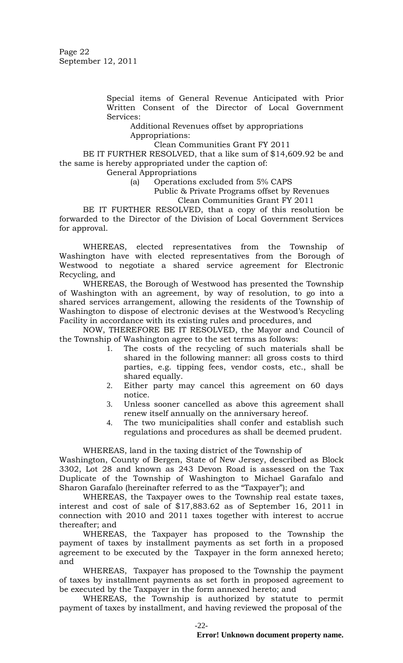Special items of General Revenue Anticipated with Prior Written Consent of the Director of Local Government Services:

Additional Revenues offset by appropriations Appropriations:

Clean Communities Grant FY 2011

BE IT FURTHER RESOLVED, that a like sum of \$14,609.92 be and the same is hereby appropriated under the caption of:

General Appropriations

(a) Operations excluded from 5% CAPS

Public & Private Programs offset by Revenues

Clean Communities Grant FY 2011

BE IT FURTHER RESOLVED, that a copy of this resolution be forwarded to the Director of the Division of Local Government Services for approval.

WHEREAS, elected representatives from the Township of Washington have with elected representatives from the Borough of Westwood to negotiate a shared service agreement for Electronic Recycling, and

WHEREAS, the Borough of Westwood has presented the Township of Washington with an agreement, by way of resolution, to go into a shared services arrangement, allowing the residents of the Township of Washington to dispose of electronic devises at the Westwood's Recycling Facility in accordance with its existing rules and procedures, and

NOW, THEREFORE BE IT RESOLVED, the Mayor and Council of the Township of Washington agree to the set terms as follows:

- 1. The costs of the recycling of such materials shall be shared in the following manner: all gross costs to third parties, e.g. tipping fees, vendor costs, etc., shall be shared equally.
- 2. Either party may cancel this agreement on 60 days notice.
- 3. Unless sooner cancelled as above this agreement shall renew itself annually on the anniversary hereof.
- 4. The two municipalities shall confer and establish such regulations and procedures as shall be deemed prudent.

WHEREAS, land in the taxing district of the Township of

Washington, County of Bergen, State of New Jersey, described as Block 3302, Lot 28 and known as 243 Devon Road is assessed on the Tax Duplicate of the Township of Washington to Michael Garafalo and Sharon Garafalo (hereinafter referred to as the "Taxpayer"); and

WHEREAS, the Taxpayer owes to the Township real estate taxes, interest and cost of sale of \$17,883.62 as of September 16, 2011 in connection with 2010 and 2011 taxes together with interest to accrue thereafter; and

WHEREAS, the Taxpayer has proposed to the Township the payment of taxes by installment payments as set forth in a proposed agreement to be executed by the Taxpayer in the form annexed hereto; and

WHEREAS, Taxpayer has proposed to the Township the payment of taxes by installment payments as set forth in proposed agreement to be executed by the Taxpayer in the form annexed hereto; and

WHEREAS, the Township is authorized by statute to permit payment of taxes by installment, and having reviewed the proposal of the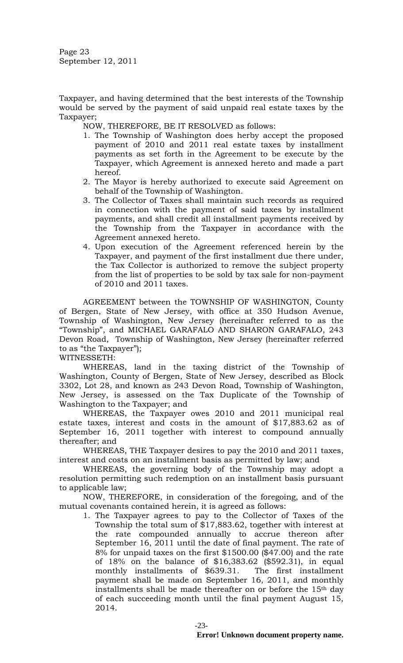Page 23 September 12, 2011

Taxpayer, and having determined that the best interests of the Township would be served by the payment of said unpaid real estate taxes by the Taxpayer;

NOW, THEREFORE, BE IT RESOLVED as follows:

- 1. The Township of Washington does herby accept the proposed payment of 2010 and 2011 real estate taxes by installment payments as set forth in the Agreement to be execute by the Taxpayer, which Agreement is annexed hereto and made a part hereof.
- 2. The Mayor is hereby authorized to execute said Agreement on behalf of the Township of Washington.
- 3. The Collector of Taxes shall maintain such records as required in connection with the payment of said taxes by installment payments, and shall credit all installment payments received by the Township from the Taxpayer in accordance with the Agreement annexed hereto.
- 4. Upon execution of the Agreement referenced herein by the Taxpayer, and payment of the first installment due there under, the Tax Collector is authorized to remove the subject property from the list of properties to be sold by tax sale for non-payment of 2010 and 2011 taxes.

AGREEMENT between the TOWNSHIP OF WASHINGTON, County of Bergen, State of New Jersey, with office at 350 Hudson Avenue, Township of Washington, New Jersey (hereinafter referred to as the "Township", and MICHAEL GARAFALO AND SHARON GARAFALO, 243 Devon Road, Township of Washington, New Jersey (hereinafter referred to as "the Taxpayer");

WITNESSETH:

WHEREAS, land in the taxing district of the Township of Washington, County of Bergen, State of New Jersey, described as Block 3302, Lot 28, and known as 243 Devon Road, Township of Washington, New Jersey, is assessed on the Tax Duplicate of the Township of Washington to the Taxpayer; and

WHEREAS, the Taxpayer owes 2010 and 2011 municipal real estate taxes, interest and costs in the amount of \$17,883.62 as of September 16, 2011 together with interest to compound annually thereafter; and

WHEREAS, THE Taxpayer desires to pay the 2010 and 2011 taxes, interest and costs on an installment basis as permitted by law; and

WHEREAS, the governing body of the Township may adopt a resolution permitting such redemption on an installment basis pursuant to applicable law;

NOW, THEREFORE, in consideration of the foregoing, and of the mutual covenants contained herein, it is agreed as follows:

1. The Taxpayer agrees to pay to the Collector of Taxes of the Township the total sum of \$17,883.62, together with interest at the rate compounded annually to accrue thereon after September 16, 2011 until the date of final payment. The rate of 8% for unpaid taxes on the first \$1500.00 (\$47.00) and the rate of 18% on the balance of \$16,383.62 (\$592.31), in equal monthly installments of \$639.31. The first installment payment shall be made on September 16, 2011, and monthly installments shall be made thereafter on or before the 15th day of each succeeding month until the final payment August 15, 2014.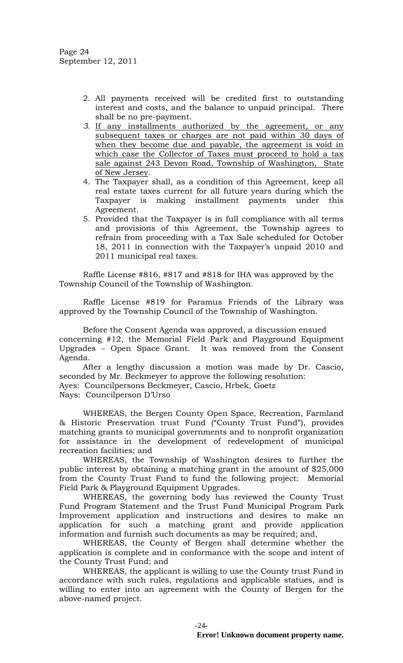- 2. All payments received will be credited first to outstanding interest and costs, and the balance to unpaid principal. There shall be no pre-payment.
- *3.* If any installments authorized by the agreement, or any subsequent taxes or charges are not paid within 30 days of when they become due and payable, the agreement is void in which case the Collector of Taxes must proceed to hold a tax sale against 243 Devon Road, Township of Washington, State of New Jersey*.*
- 4. The Taxpayer shall, as a condition of this Agreement, keep all real estate taxes current for all future years during which the Taxpayer is making installment payments under this Agreement.
- 5. Provided that the Taxpayer is in full compliance with all terms and provisions of this Agreement, the Township agrees to refrain from proceeding with a Tax Sale scheduled for October 18, 2011 in connection with the Taxpayer's unpaid 2010 and 2011 municipal real taxes.

Raffle License #816, #817 and #818 for IHA was approved by the Township Council of the Township of Washington.

Raffle License #819 for Paramus Friends of the Library was approved by the Township Council of the Township of Washington.

Before the Consent Agenda was approved, a discussion ensued concerning #12, the Memorial Field Park and Playground Equipment Upgrades – Open Space Grant. It was removed from the Consent Agenda.

After a lengthy discussion a motion was made by Dr. Cascio, seconded by Mr. Beckmeyer to approve the following resolution: Ayes: Councilpersons Beckmeyer, Cascio, Hrbek, Goetz Nays: Councilperson D'Urso

WHEREAS, the Bergen County Open Space, Recreation, Farmland & Historic Preservation trust Fund ("County Trust Fund"), provides matching grants to municipal governments and to nonprofit organization for assistance in the development of redevelopment of municipal recreation facilities; and

WHEREAS, the Township of Washington desires to further the public interest by obtaining a matching grant in the amount of \$25,000 from the County Trust Fund to fund the following project: Memorial Field Park & Playground Equipment Upgrades.

WHEREAS, the governing body has reviewed the County Trust Fund Program Statement and the Trust Fund Municipal Program Park Improvement application and instructions and desires to make an application for such a matching grant and provide application information and furnish such documents as may be required; and,

WHEREAS, the County of Bergen shall determine whether the application is complete and in conformance with the scope and intent of the County Trust Fund; and

WHEREAS, the applicant is willing to use the County trust Fund in accordance with such rules, regulations and applicable statues, and is willing to enter into an agreement with the County of Bergen for the above-named project.